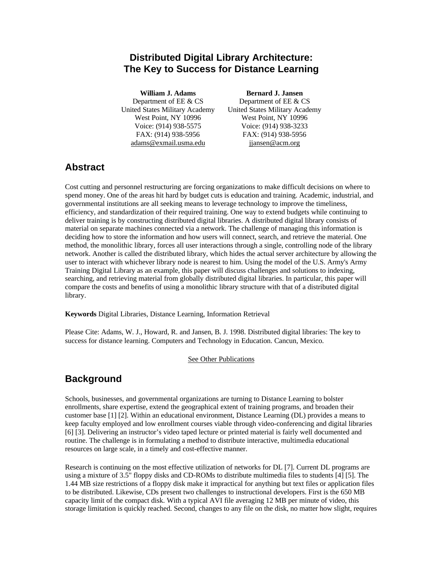### **Distributed Digital Library Architecture: The Key to Success for Distance Learning**

**William J. Adams** Department of EE & CS United States Military Academy West Point, NY 10996 Voice: (914) 938-5575 FAX: (914) 938-5956 adams@exmail.usma.edu

**Bernard J. Jansen** Department of EE & CS United States Military Academy West Point, NY 10996 Voice: (914) 938-3233 FAX: (914) 938-5956 jjansen@acm.org

### **Abstract**

Cost cutting and personnel restructuring are forcing organizations to make difficult decisions on where to spend money. One of the areas hit hard by budget cuts is education and training. Academic, industrial, and governmental institutions are all seeking means to leverage technology to improve the timeliness, efficiency, and standardization of their required training. One way to extend budgets while continuing to deliver training is by constructing distributed digital libraries. A distributed digital library consists of material on separate machines connected via a network. The challenge of managing this information is deciding how to store the information and how users will connect, search, and retrieve the material. One method, the monolithic library, forces all user interactions through a single, controlling node of the library network. Another is called the distributed library, which hides the actual server architecture by allowing the user to interact with whichever library node is nearest to him. Using the model of the U.S. Army's Army Training Digital Library as an example, this paper will discuss challenges and solutions to indexing, searching, and retrieving material from globally distributed digital libraries. In particular, this paper will compare the costs and benefits of using a monolithic library structure with that of a distributed digital library.

**Keywords** Digital Libraries, Distance Learning, Information Retrieval

Please Cite: Adams, W. J., Howard, R. and Jansen, B. J. 1998. Distributed digital libraries: The key to success for distance learning. Computers and Technology in Education. Cancun, Mexico.

#### See Other Publications

## **Background**

Schools, businesses, and governmental organizations are turning to Distance Learning to bolster enrollments, share expertise, extend the geographical extent of training programs, and broaden their customer base [1] [2]. Within an educational environment, Distance Learning (DL) provides a means to keep faculty employed and low enrollment courses viable through video-conferencing and digital libraries [6] [3]. Delivering an instructor's video taped lecture or printed material is fairly well documented and routine. The challenge is in formulating a method to distribute interactive, multimedia educational resources on large scale, in a timely and cost-effective manner.

Research is continuing on the most effective utilization of networks for DL [7]. Current DL programs are using a mixture of 3.5" floppy disks and CD-ROMs to distribute multimedia files to students [4] [5]. The 1.44 MB size restrictions of a floppy disk make it impractical for anything but text files or application files to be distributed. Likewise, CDs present two challenges to instructional developers. First is the 650 MB capacity limit of the compact disk. With a typical AVI file averaging 12 MB per minute of video, this storage limitation is quickly reached. Second, changes to any file on the disk, no matter how slight, requires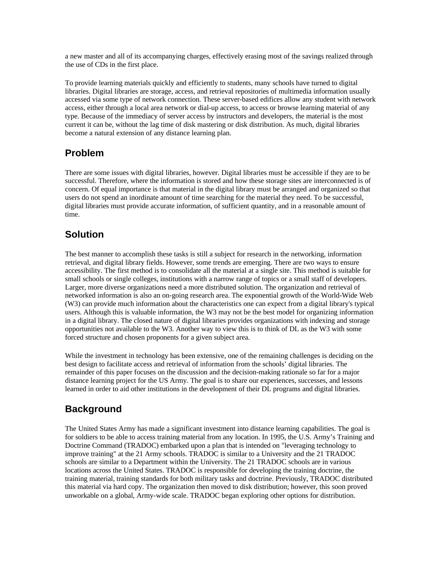a new master and all of its accompanying charges, effectively erasing most of the savings realized through the use of CDs in the first place.

To provide learning materials quickly and efficiently to students, many schools have turned to digital libraries. Digital libraries are storage, access, and retrieval repositories of multimedia information usually accessed via some type of network connection. These server-based edifices allow any student with network access, either through a local area network or dial-up access, to access or browse learning material of any type. Because of the immediacy of server access by instructors and developers, the material is the most current it can be, without the lag time of disk mastering or disk distribution. As much, digital libraries become a natural extension of any distance learning plan.

## **Problem**

There are some issues with digital libraries, however. Digital libraries must be accessible if they are to be successful. Therefore, where the information is stored and how these storage sites are interconnected is of concern. Of equal importance is that material in the digital library must be arranged and organized so that users do not spend an inordinate amount of time searching for the material they need. To be successful, digital libraries must provide accurate information, of sufficient quantity, and in a reasonable amount of time.

# **Solution**

The best manner to accomplish these tasks is still a subject for research in the networking, information retrieval, and digital library fields. However, some trends are emerging. There are two ways to ensure accessibility. The first method is to consolidate all the material at a single site. This method is suitable for small schools or single colleges, institutions with a narrow range of topics or a small staff of developers. Larger, more diverse organizations need a more distributed solution. The organization and retrieval of networked information is also an on-going research area. The exponential growth of the World-Wide Web (W3) can provide much information about the characteristics one can expect from a digital library's typical users. Although this is valuable information, the W3 may not be the best model for organizing information in a digital library. The closed nature of digital libraries provides organizations with indexing and storage opportunities not available to the W3. Another way to view this is to think of DL as the W3 with some forced structure and chosen proponents for a given subject area.

While the investment in technology has been extensive, one of the remaining challenges is deciding on the best design to facilitate access and retrieval of information from the schools' digital libraries. The remainder of this paper focuses on the discussion and the decision-making rationale so far for a major distance learning project for the US Army. The goal is to share our experiences, successes, and lessons learned in order to aid other institutions in the development of their DL programs and digital libraries.

# **Background**

The United States Army has made a significant investment into distance learning capabilities. The goal is for soldiers to be able to access training material from any location. In 1995, the U.S. Army's Training and Doctrine Command (TRADOC) embarked upon a plan that is intended on "leveraging technology to improve training" at the 21 Army schools. TRADOC is similar to a University and the 21 TRADOC schools are similar to a Department within the University. The 21 TRADOC schools are in various locations across the United States. TRADOC is responsible for developing the training doctrine, the training material, training standards for both military tasks and doctrine. Previously, TRADOC distributed this material via hard copy. The organization then moved to disk distribution; however, this soon proved unworkable on a global, Army-wide scale. TRADOC began exploring other options for distribution.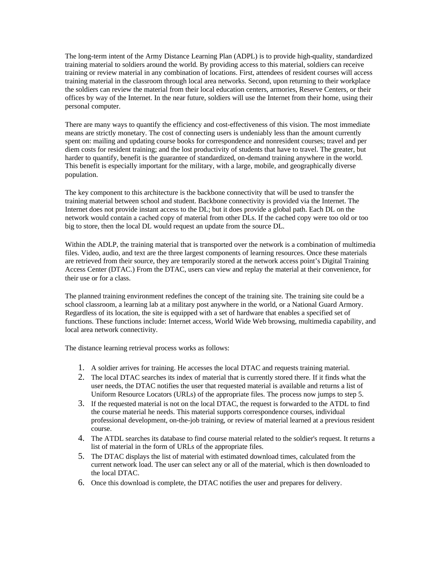The long-term intent of the Army Distance Learning Plan (ADPL) is to provide high-quality, standardized training material to soldiers around the world. By providing access to this material, soldiers can receive training or review material in any combination of locations. First, attendees of resident courses will access training material in the classroom through local area networks. Second, upon returning to their workplace the soldiers can review the material from their local education centers, armories, Reserve Centers, or their offices by way of the Internet. In the near future, soldiers will use the Internet from their home, using their personal computer.

There are many ways to quantify the efficiency and cost-effectiveness of this vision. The most immediate means are strictly monetary. The cost of connecting users is undeniably less than the amount currently spent on: mailing and updating course books for correspondence and nonresident courses; travel and per diem costs for resident training; and the lost productivity of students that have to travel. The greater, but harder to quantify, benefit is the guarantee of standardized, on-demand training anywhere in the world. This benefit is especially important for the military, with a large, mobile, and geographically diverse population.

The key component to this architecture is the backbone connectivity that will be used to transfer the training material between school and student. Backbone connectivity is provided via the Internet. The Internet does not provide instant access to the DL; but it does provide a global path. Each DL on the network would contain a cached copy of material from other DLs. If the cached copy were too old or too big to store, then the local DL would request an update from the source DL.

Within the ADLP, the training material that is transported over the network is a combination of multimedia files. Video, audio, and text are the three largest components of learning resources. Once these materials are retrieved from their source, they are temporarily stored at the network access point's Digital Training Access Center (DTAC.) From the DTAC, users can view and replay the material at their convenience, for their use or for a class.

The planned training environment redefines the concept of the training site. The training site could be a school classroom, a learning lab at a military post anywhere in the world, or a National Guard Armory. Regardless of its location, the site is equipped with a set of hardware that enables a specified set of functions. These functions include: Internet access, World Wide Web browsing, multimedia capability, and local area network connectivity.

The distance learning retrieval process works as follows:

- 1. A soldier arrives for training. He accesses the local DTAC and requests training material.
- 2. The local DTAC searches its index of material that is currently stored there. If it finds what the user needs, the DTAC notifies the user that requested material is available and returns a list of Uniform Resource Locators (URLs) of the appropriate files. The process now jumps to step 5.
- 3. If the requested material is not on the local DTAC, the request is forwarded to the ATDL to find the course material he needs. This material supports correspondence courses, individual professional development, on-the-job training, or review of material learned at a previous resident course.
- 4. The ATDL searches its database to find course material related to the soldier's request. It returns a list of material in the form of URLs of the appropriate files.
- 5. The DTAC displays the list of material with estimated download times, calculated from the current network load. The user can select any or all of the material, which is then downloaded to the local DTAC.
- 6. Once this download is complete, the DTAC notifies the user and prepares for delivery.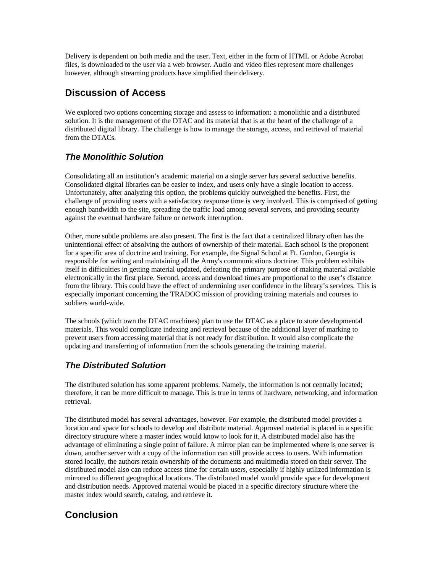Delivery is dependent on both media and the user. Text, either in the form of HTML or Adobe Acrobat files, is downloaded to the user via a web browser. Audio and video files represent more challenges however, although streaming products have simplified their delivery.

# **Discussion of Access**

We explored two options concerning storage and assess to information: a monolithic and a distributed solution. It is the management of the DTAC and its material that is at the heart of the challenge of a distributed digital library. The challenge is how to manage the storage, access, and retrieval of material from the DTACs.

### *The Monolithic Solution*

Consolidating all an institution's academic material on a single server has several seductive benefits. Consolidated digital libraries can be easier to index, and users only have a single location to access. Unfortunately, after analyzing this option, the problems quickly outweighed the benefits. First, the challenge of providing users with a satisfactory response time is very involved. This is comprised of getting enough bandwidth to the site, spreading the traffic load among several servers, and providing security against the eventual hardware failure or network interruption.

Other, more subtle problems are also present. The first is the fact that a centralized library often has the unintentional effect of absolving the authors of ownership of their material. Each school is the proponent for a specific area of doctrine and training. For example, the Signal School at Ft. Gordon, Georgia is responsible for writing and maintaining all the Army's communications doctrine. This problem exhibits itself in difficulties in getting material updated, defeating the primary purpose of making material available electronically in the first place. Second, access and download times are proportional to the user's distance from the library. This could have the effect of undermining user confidence in the library's services. This is especially important concerning the TRADOC mission of providing training materials and courses to soldiers world-wide.

The schools (which own the DTAC machines) plan to use the DTAC as a place to store developmental materials. This would complicate indexing and retrieval because of the additional layer of marking to prevent users from accessing material that is not ready for distribution. It would also complicate the updating and transferring of information from the schools generating the training material.

## *The Distributed Solution*

The distributed solution has some apparent problems. Namely, the information is not centrally located; therefore, it can be more difficult to manage. This is true in terms of hardware, networking, and information retrieval.

The distributed model has several advantages, however. For example, the distributed model provides a location and space for schools to develop and distribute material. Approved material is placed in a specific directory structure where a master index would know to look for it. A distributed model also has the advantage of eliminating a single point of failure. A mirror plan can be implemented where is one server is down, another server with a copy of the information can still provide access to users. With information stored locally, the authors retain ownership of the documents and multimedia stored on their server. The distributed model also can reduce access time for certain users, especially if highly utilized information is mirrored to different geographical locations. The distributed model would provide space for development and distribution needs. Approved material would be placed in a specific directory structure where the master index would search, catalog, and retrieve it.

# **Conclusion**